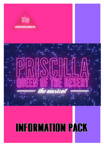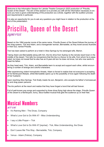Welcome to the Information Session for Latrobe Theatre Company's 2022 production of "Priscilla, Queen of the Desert". The aim of this session is to provide you with all the information necessary to ensure you have a good understanding of the production as a whole, together with the audition process and requirements in particular.

It is also an opportunity for you to ask any questions you might have in relation to the production at the end of the presentation.

## **Priscilla, Queen of the Desert SUNOPSIS**

Based on the 1994 popular movie of the same name, *Priscilla Queen of the Desert* follows the journey of two drag queens, Tick and Adam, and a transgender woman, Bernadette, as they travel across Australia in their bus, named Priscilla.

Tick has been asked to perform at a hotel in Alice Springs by his estranged wife, Marion.

Taking Adam and Bernadette along with him, the trio drive from Sydney to the remote resort town in the middle of the desert. Tick tells his companions that the trip is a favour to his wife, from whom he is separated, but does not reveal that he also has an 8-year-old son he does not know, but who now wants to meet his father.

As they head west, Tick, Adam, and Bernadette learn to accept and support each other, whilst encountering a number of strange and colorful characters.

After experiencing violent homophobic threats, Adam is forced to realize that not everyone is accepting of his flamboyant lifestyle, whilst Bernadette opens up to the possibility of love again following the death of her husband.

Upon reaching Alice Springs, Tick finally meets his son, Benjamin, who accepts his father's homosexuality and drag queen persona.

The trio perform at the resort and realize that they have forged a bond that will last forever.

Full of well-known pop songs and supported by three divas flying high above the stage, *Priscilla Queen of the Desert* is a flamboyant, funny, disco-fuelled musical that gets the audience up on their feet.

# **Musical Numbers**

#### ACT ONE

- It's Raining Men The Divas, Company
- What's Love Got to Do With It? Miss Understanding
- I say a Little Prayer— Tick
- What's Love Got to Do With It? [reprise] Tick, Miss Understanding, the Divas
- Don't Leave Me This Way Bernadette, Tick, Company
- Venus Adam (Felicia), Company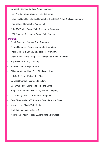- Go West Bernadette, Tick, Adam, Company
- I Say A Little Prayer [reprise] Tick, the Divas
- I Love the Nightlife Shirley, Bernadette, Tick (Mitzi), Adam (Felicia), Company
- True Colors Bernadette, Adam, Tick
- Color My World Adam, Tick, Bernadette, Company
- I Will Survive Bernadette, Adam, Tick, Company

#### ACT TWO

- Thank God I'm a Country Boy Company
- A Fine Romance Young Bernadette, Bernadette
- Thank God I'm a Country Boy [reprise] Company
- Shake Your Groove Thing Tick, Bernadette, Adam, the Divas
- Pop Muzik Cynthia, Company
- A Fine Romance [reprise] Bob
- Girls Just Wanna Have Fun The Divas, Adam
- Hot Stuff Adam (Felicia), the Divas
- Go West [reprise] Bernadette, Adam
- Macarthur Park Bernadette, Tick, the Divas
- Boogie Wonderland The Divas, Marion, Company
- The Morning After Tick, Marion, Company
- Floor Show Medley Tick, Adam, Bernadette, the Divas
- Always on My Mind Tick, Benjamin
- Confide in Me Adam (Felicia)
- We Belong Adam (Felicia), Adam (Mitzi), Bernadette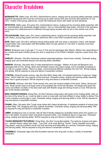## **Character Breakdown**

**BERNADETTE:** (Male Lead, 40's-60's; baritone/tenor) dance, singing and lip-synching ability essential; quietly dignified transsexual who must be convincing as an older woman who was once the star performer of 'Les Girls'; mother of the group; glamorous, oozes Old Hollywood charm with rapier wit and sensitivity.

**MITZI/TICK:** (Male Lead, 30's-early 40's; baritone/tenor) dance, singing and lip-synching ability essential; with an unremarkable and essentially straight exterior, Tick is a discontented drag queen, the best in the business; his journey from disillusionment to fulfillment through being reunited with his son is the central core of the story.

**FELICIA/ADAM:** (Male Lead, 20's; tenor) outstanding dance, singing and lip-synching ability essential; well built, flashy, young drag queen and born performer with a more than occasional bitchy streak.

**BOB:** (Male Lead- 40's-50's; baritone) strong acting ability with one song; a mechanic; manly, soft hearted Aussie bloke; has a fascination with Bernadette whom he saw perform in 'Les Girls' in Sydney more than twenty years ago.

**BENJI: (**Featured, boy or girl age 7-11) son of Tick and his estranged wife, Marion; Marion has raised Benji to be a sweet and open-minded young boy who is supportive of his Father's lifestyle; requires a good actor who sings.

**SHIRLEY:** (Woman, 30s-50s) Hardened outback bartender/waitress. Good ironic comedy. Character acting, singing (solo and ensemble pieces) and dancing ability (Alto/Belt).

**MARION:** (Woman, 30s-early 40s) A hotel entertainment manager - Mother of 8-year-old Benjamin and estranged wife of Tick. Strong, direct and forthright woman who takes charge, but is incredibly accepting of her role as a single mother. There is a deep, unconventional affection between her and Tick. Strong singing and acting. Will be required to sing and dance in ensemble numbers.

**CYNTHIA:** (Asian/Eurasian woman, late 20s-30s) Bob's feisty wife. A frustrated performer of obscure "stage tricks", which make her very popular at the local pub. Character acting, singing and dancing ability essential. Must have a great physique. Will be required to sing and dance in ensemble numbers.

**THE DIVAS:** (Women, 20s-40s) Three women who carry the musical weight of the show. Sassy, strong and sexy, these women lead us through some of the greatest hits of the last decades. All shapes and sizes welcome, but brilliant vocalists in the disco-belt style with flexible range and strong movers a must. Will also be part of the female ensemble.

**MISS UNDERSTANDING: (**Drag Role, 20-30s) Fabulous drag queen with great comic hosting ability. Sets up the tone of the show for us—must be able to work a crowd well, and look brilliant in drag. Ability to deliver Tina Turner numbers convincingly a must. Character acting, singing and dancing ability a must. Will be required to sing and dance in ensemble numbers.

**FRANK:** (Man, 20s-early 40s) Tough miner bloke with violent tendencies. A hardened resident of mining town Coober Pedy. Tall, strapping and very outback Australian. Character acting, singing and dancing ability. Will be required to sing and dance in ensemble numbers.

**JIMMY: (**Indigenous man or woman, late 20-30s) Friendly indigenous Australian bloke whom the queens run into in the desert. Innocent charm and great movement skills—any traditional dance a huge plus. Character acting, singing and dancing ability. Will be required to sing and dance in ensemble numbers.

**YOUNG BERNADETTE/FARRAH:** (Drag Role, 20s-30s) Young Bernadette: The epitome of grace and glamour -- gender illusion rather than drag -- "Les Girls" at its most alluring. Farrah: Young, beautiful and sassy drag queen; must be a brilliant mover and look stunning and believable as a woman; character acting, singing and dancing ability. Will be required to sing and dance in ensemble numbers.

**ENSEMBLE:** (Character ages 20s-40s) Excellent dancers who sing well, to play a variety of ensemble characters.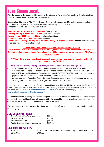## **Your Commitment**

Priscilla, Queen of the Desert will be staged in the Gippsland Performing Arts Centre in Traralgon between Friday 26th August and Saturday 3rd September 2022.

Rehearsals will be held at 'The Wings', Ronald Reserve Hall, Vary Street, Morwell on Mondays and Wednesday nights, with regular Sunday rehearsals and a compulsory camp in July 2022. Auditions will be held at 'The Wings' as follows:

**Saturday, 30th April 2022 10am -12noon —**Dance Audition **Saturday 30th April 2022 1.pm—5.30pm** —Individual Auditions **Sunday 1st May 2022 10am —5.30pm** —Individual auditions **Monday 2nd May 2022, 7.00pm—9pm**— Callbacks **Theatre Dates: Friday 19th August through to Sunday 4th September 2022**—must be available for all dates (see attached rehearsal calendar)

#### **\*\*\* Please commit to being available for the whole audition period**

**\*\*\*\*\*Please note that ALL auditonees must be 17 years or older as at first rehearsal, 9th May 2022. Due to the adult content, signed Parental consent will be required for performers aged 17 if offered a place in the cast.**

**\*\*\*\*\* Important: Under current restrictions, all cast, crew and orchestra are required to be fully vaccinated against COVID-19.**

#### **The following are very important points that you will need to understand and agree to:**

- All auditionees are to pay a one off \$5.00 Administration/Audition fee on arrival at the audition.
- It is a requirement that all cast members will be financial members of the Latrobe Theatre Company and MUST pay the Membership Fees at or before the FIRST REHEARSAL. Individuals may make a payment plan for the balance of Show Fees and Camp Costs if required.
- All cast members, Production Team, Crew and Orchestra, aged 18 years or older, must have a valid Working With Children Check or VIT registration—there are no exceptions.

Please complete our online audition form and an audition time will be provided for you once the form is submitted. (Principals will be provided with the audition monologue when the audition time is provided.) The form can be found at: <http://www.latrobetheatrecompany.org.au/>or via our Facebook page: [https://](https://www.facebook.com/LatrobeTheatreCompany/) [www.facebook.com/LatrobeTheatreCompany/](https://www.facebook.com/LatrobeTheatreCompany/)

The production team is looking for a fit and energetic cast of 25-30 individuals consisting of a variety of ages and ethnicity. Any incidental roles will be covered by the ensemble. High physical and vocal stamina and energy will be needed throughout rehearsals and runs of the show.

If you are unsure whether you meet the criteria, do not be put off. We recommend that you audition and let us be the judge!

#### MEMBERSHIP FEES

| One off Joining Fee (New Members)   | \$11.00  |
|-------------------------------------|----------|
| <b>Full Membership</b>              | \$60.50  |
| Student/Concession                  | \$44.00  |
| Family Residing at the same address | \$110.00 |

#### PRODUCTION FEES

| Show Levy | \$120.00 (includes a Production T-Shirt, program and Photo DVD) |
|-----------|-----------------------------------------------------------------|
| Camp Cost | \$160.00                                                        |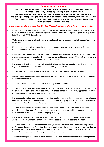### CHILD SAFE POLICY

**Latrobe Theatre Company Inc has a zero tolerance to any form of child abuse and is committed to the safety, wellbeing and empowerment of children. We will create and maintain a child safe organisation where protecting children and preventing and responding to child abuse is embedded in the everyday thinking and practice of all members. This Policy applies to all members and volunteers irrespective of their involvement in child related duties.** 

#### *Any persons who have outstanding Memberships and/or Show Levies will not be able to audition.*

- All members of Latrobe Theatre Company Inc as well as Production Team, crew and orchestra members are required to have a valid Working With Children Check (or VIT equivalent) and are required to list LTC on their WWCC registration.
- Under current restrictions, all cast, crew and band members are required to be fully vaccinated against COVID-19.
- Members of the cast will be required to reach a satisfactory standard within six weeks of commencement of rehearsals, otherwise they may be replaced.
- If you are offered a position in the cast of Priscilla, Queen of the Desert, please remember that you are making a commitment to complete the rehearsal period and theatre season. We view this commitment to the company and your fellow performers very seriously.
- It is expected that all cast members will attend all rehearsals they are scheduled for. Punctuality and regular attendance is essential for the smooth running in rehearsals.
- All cast members must be available for all performance dates, including theatre rehearsals.
- Sunday rehearsals are vital rehearsal times for the production and cast members must be available for these scheduled dates.
- The Camp Weekend scheduled for 30th & 31st July 2022 is compulsory.
- All cast will be provided with major items of costuming however, there is an expectation that cast members will provide some of their own costuming (e.g. shoes, dance shoes, hosiery, appropriate jewellery etc.) Assistance and advise will be given in this area.
- It is an expectation that cast members will practice music, dance and dialogue outside normal rehearsal sessions. There is insufficient time at rehearsals to allow for ongoing practice of pieces. The standard we achieve will be directly related to the amount of practice done in your own time.
- The decisions made by the audition panel are final and no approach may be made to the panel regarding those decisions. Should you have any query relating to the audition process you must inform the Committee of the Latrobe Theatre Company in writing.
- It is expected that any cast under the age of 18 will be signed in and out of rehearsals by a parent or guardian. However, rehearsals themselves will be closed to anyone except cast members.
- The Production Team expects commitment from you to the production that will ensure best possible performance. In return the Production Team give you the commitment that they will utilise your time as effectively as possible and structure the production so that you gain maximum enjoyment and reward from it. A committed team working together equals a successful show.
- You are encouraged at all times to ask questions and discuss any concerns or queries you might have.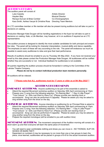## AUDITION DETAILS

The audition panel will consist of: Luke Cassidy **Artistic Director** Hayden May **Musical Director** Musical Director Renaye Duncan & Briee Comber Co-Choreographers Kara Smith, Ashlea Vanyai & Christine Ross Directing Team Mentors

An LTC committee member or life member will also be present during auditions but will take no part in decisions on casting.

Production Manager Kate Dougan will be handling registrations in the foyer but will take no part in decisions on casting. Kate, a Life Member, may however, sit in on auditions if required as an LTC representative.

The audition process is designed to identify the most suitable candidates for both principal and ensemble roles. The panel will be looking for character interpretation, musical ability and dance capability. The emphasis on each of these will vary according to the role. The panel will endeavour as much as possible to assist every auditionee to relax and give their best performance.

Results of auditions should be emailed to you by Thursday 4th May 2022. If you have not received your email by this date please contact the Production Manager Kate Dougan. All auditionees will be notified whether they are successful or not. Individual feedback for auditionees is not available.

All queries regarding the audition process should be forwarded in writing to the Committee of the Latrobe Theatre Company.

*Please do not try to contact individual production team members personally.*

All auditions will be videoed.

**\*\*\*Please note that ALL auditonees must be 17 years or older as at 9th May 2022\*\*\***

## AUDITION REQUIREMENTS

ENSEMBLE AUDITIONS: Anyone auditioning to be part of the ensemble is asked to:

- Attend the required Movement workshop audition on Saturday 30th April commencing at 10am.
- Prepare one (1) song from the following selection: "It's Raining Men" "I Say A Little Prayer" -"True Colours " or Girls Just Want to Have Fun" *(Please provide own backing track or accompanist. Song can also be performed A Cappella).* Please be aware you may be asked to sing another song from the show on the day.

PRINCIPAL AUDITIONS: Anyone intending on auditioning for an Principal Role is asked to:

- Attend the required Movement workshop audition on Saturday 30th April commencing at 10am.
- Prepare one (1) song from the following selection: "It's Raining Men" "I Say A Little Prayer" "True Colours " or Girls Just Want to Have Fun" *(Please provide own backing track or accompanist. Song can also be performed A Cappella).* Please be aware you may be asked to sing another song from the show on the day.
- Prepare the required monologue (will be emailed to you with audition time)

MOVEMENT AUDITION: The movement component of the Audition morning will consist of a short warm up and then everyone will learn the same piece of movement.

- You will need to wear comfortable clothing and shoes you can move in NO THONGS, SLIP ON SHOES OR BARE FEET!
- Dependant on numbers it may be necessary to run more than one or two groups to learn the piece; once learned, auditionees will be placed in groups of 6-8 for the actual movement audition.